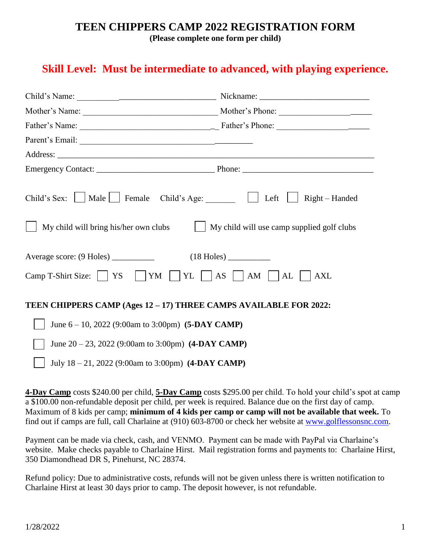## **TEEN CHIPPERS CAMP 2022 REGISTRATION FORM**

**(Please complete one form per child)**

## **Skill Level: Must be intermediate to advanced, with playing experience.**

| Child's Sex: Male Female Child's Age: Left Sexternal Right - Handed<br>My child will use camp supplied golf clubs<br>My child will bring his/her own clubs |  |  |
|------------------------------------------------------------------------------------------------------------------------------------------------------------|--|--|
| Average score: (9 Holes) ___________                                                                                                                       |  |  |
| Camp T-Shirt Size: $\Box$ YS $\Box$ YM $\Box$ YL $\Box$ AS $\Box$ AM $\Box$ AL $\Box$ AXL                                                                  |  |  |
| TEEN CHIPPERS CAMP (Ages 12 - 17) THREE CAMPS AVAILABLE FOR 2022:                                                                                          |  |  |
| June $6 - 10$ , 2022 (9:00am to 3:00pm) (5-DAY CAMP)                                                                                                       |  |  |
| June $20 - 23$ , 2022 (9:00am to 3:00pm) (4-DAY CAMP)                                                                                                      |  |  |
| July 18 - 21, 2022 (9:00am to 3:00pm) (4-DAY CAMP)                                                                                                         |  |  |

**4-Day Camp** costs \$240.00 per child, **5-Day Camp** costs \$295.00 per child. To hold your child's spot at camp a \$100.00 non-refundable deposit per child, per week is required. Balance due on the first day of camp. Maximum of 8 kids per camp; **minimum of 4 kids per camp or camp will not be available that week.** To find out if camps are full, call Charlaine at (910) 603-8700 or check her website at [www.golflessonsnc.com.](http://www.golflessonsnc.com/)

Payment can be made via check, cash, and VENMO. Payment can be made with PayPal via Charlaine's website. Make checks payable to Charlaine Hirst. Mail registration forms and payments to: Charlaine Hirst, 350 Diamondhead DR S, Pinehurst, NC 28374.

Refund policy: Due to administrative costs, refunds will not be given unless there is written notification to Charlaine Hirst at least 30 days prior to camp. The deposit however, is not refundable.